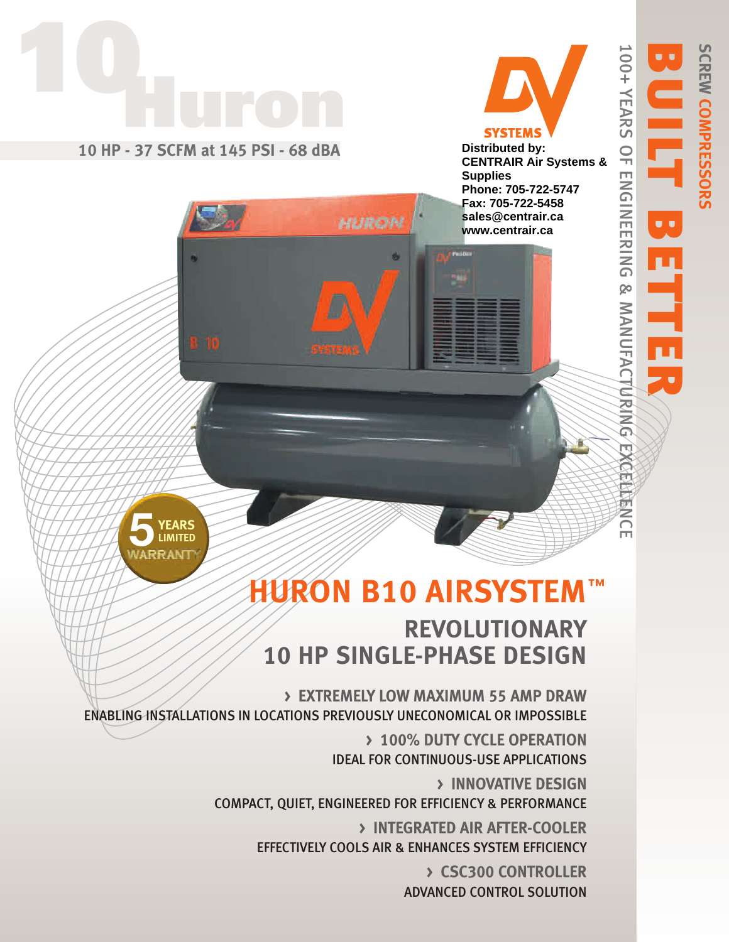

100+ YEARS OF ENGINEERING & MANUFACTURING EXCELLENCE

**100+ YEARS OF ENGINEERING & MANUFACT/UR/NG/EXCENERIER** 

SCREW COMPRESSORS

**COMPRESSORS**



# **HURON B10 AIRSYSTEM REVOLUTIONARY 10 HP SINGLE-PHASE DESIGN ™**

**> EXTREMELY LOW MAXIMUM 55 AMP DRAW** ENABLING INSTALLATIONS IN LOCATIONS PREVIOUSLY UNECONOMICAL OR IMPOSSIBLE

> **> 100% DUTY CYCLE OPERATION** IDEAL FOR CONTINUOUS-USE APPLICATIONS

**> INNOVATIVE DESIGN** COMPACT, QUIET, ENGINEERED FOR EFFICIENCY & PERFORMANCE

**> INTEGRATED AIR AFTER-COOLER** EFFECTIVELY COOLS AIR & ENHANCES SYSTEM EFFICIENCY

> **> CSC300 CONTROLLER** ADVANCED CONTROL SOLUTION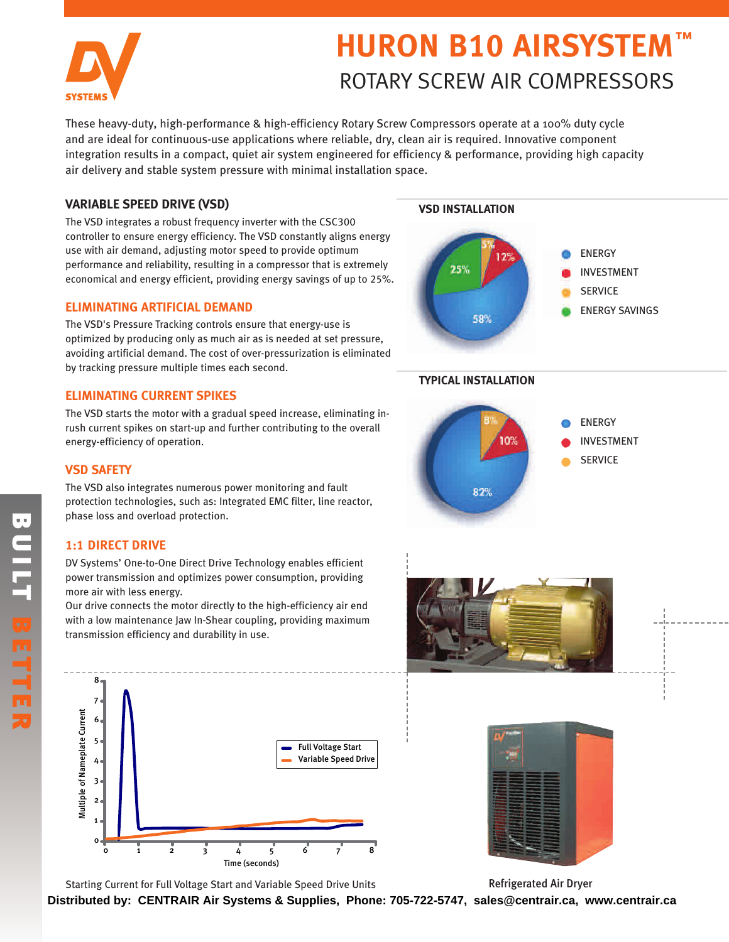

# **HURON B10 AIRSYSTEM ™** ROTARY SCREW AIR COMPRESSORS

These heavy-duty, high-performance & high-efficiency Rotary Screw Compressors operate at a 100% duty cycle and are ideal for continuous-use applications where reliable, dry, clean air is required. Innovative component integration results in a compact, quiet air system engineered for efficiency & performance, providing high capacity air delivery and stable system pressure with minimal installation space.

## **VARIABLE SPEED DRIVE (VSD)**

The VSD integrates a robust frequency inverter with the CSC300 controller to ensure energy efficiency. The VSD constantly aligns energy use with air demand, adjusting motor speed to provide optimum performance and reliability, resulting in a compressor that is extremely economical and energy efficient, providing energy savings of up to 25%.

## **ELIMINATING ARTIFICIAL DEMAND**

The VSD's Pressure Tracking controls ensure that energy-use is optimized by producing only as much air as is needed at set pressure, avoiding artificial demand. The cost of over-pressurization is eliminated by tracking pressure multiple times each second.

# **ELIMINATING CURRENT SPIKES**

The VSD starts the motor with a gradual speed increase, eliminating inrush current spikes on start-up and further contributing to the overall energy-efficiency of operation.

# **VSD SAFETY**

The VSD also integrates numerous power monitoring and fault protection technologies, such as: Integrated EMC filter, line reactor, phase loss and overload protection.

# **1:1 DIRECT DRIVE**

DV Systems' One-to-One Direct Drive Technology enables efficient power transmission and optimizes power consumption, providing more air with less energy.

Our drive connects the motor directly to the high-efficiency air end with a low maintenance Jaw In-Shear coupling, providing maximum transmission efficiency and durability in use.



Refrigerated Air Dryer



**Distributed by: CENTRAIR Air Systems & Supplies, Phone: 705-722-5747, sales@centrair.ca, www.centrair.ca**

# **VSD INSTALLATION**



## **TYPICAL INSTALLATION**





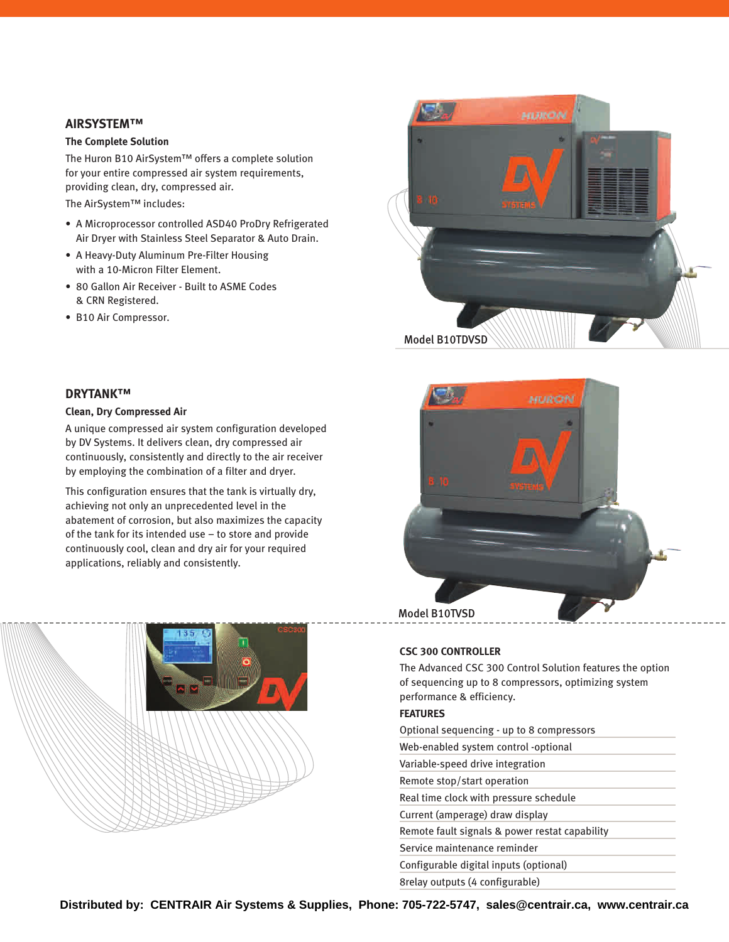#### **AIRSYSTEM™**

#### **The Complete Solution**

The Huron B10 AirSystem™ offers a complete solution for your entire compressed air system requirements, providing clean, dry, compressed air.

The AirSystem™ includes:

- A Microprocessor controlled ASD40 ProDry Refrigerated Air Dryer with Stainless Steel Separator & Auto Drain.
- A Heavy-Duty Aluminum Pre-Filter Housing with a 10-Micron Filter Element.
- 80 Gallon Air Receiver Built to ASME Codes & CRN Registered.
- B10 Air Compressor.





#### **DRYTANK™**

#### **Clean, Dry Compressed Air**

A unique compressed air system configuration developed by DV Systems. It delivers clean, dry compressed air continuously, consistently and directly to the air receiver by employing the combination of a filter and dryer.

This configuration ensures that the tank is virtually dry, achieving not only an unprecedented level in the abatement of corrosion, but also maximizes the capacity of the tank for its intended use – to store and provide continuously cool, clean and dry air for your required applications, reliably and consistently.



#### **CSC 300 CONTROLLER**

The Advanced CSC 300 Control Solution features the option of sequencing up to 8 compressors, optimizing system performance & efficiency.

#### **FEATURES**

| Optional sequencing - up to 8 compressors      |
|------------------------------------------------|
| Web-enabled system control -optional           |
| Variable-speed drive integration               |
| Remote stop/start operation                    |
| Real time clock with pressure schedule         |
| Current (amperage) draw display                |
| Remote fault signals & power restat capability |
| Service maintenance reminder                   |
| Configurable digital inputs (optional)         |
| 8 selay outputs (4 configurable)               |